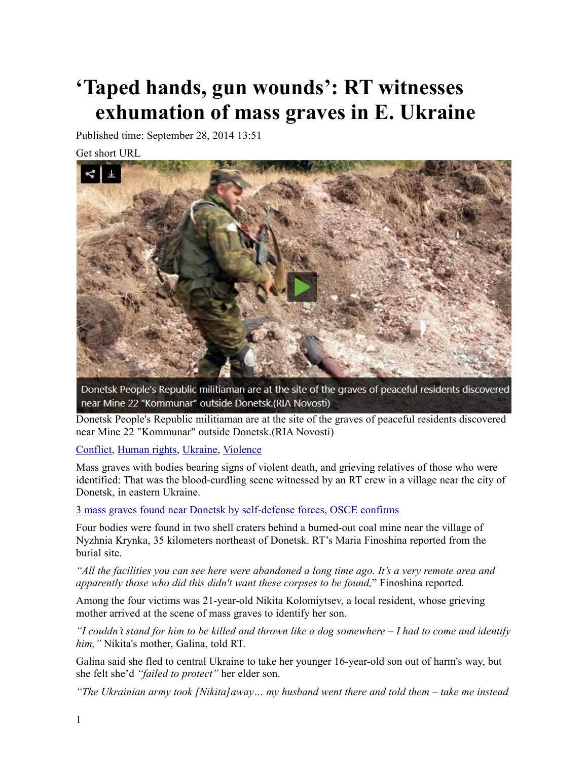## **'Taped hands, gun wounds': RT witnesses exhumation of mass graves in E. Ukraine**

Published time: September 28, 2014 13:51

Get short URL



Donetsk People's Republic militiaman are at the site of the graves of peaceful residents discovered near Mine 22 "Kommunar" outside Donetsk.(RIA Novosti)

Donetsk People's Republic militiaman are at the site of the graves of peaceful residents discovered near Mine 22 "Kommunar" outside Donetsk. (RIA Novosti)

Conflict, Human rights, Ukraine, Violence

Mass graves with bodies bearing signs of violent death, and grieving relatives of those who were identified: That was the blood-curdling scene witnessed by an RT crew in a village near the city of Donetsk, in eastern Ukraine.

3 mass graves found near Donetsk by self-defense forces, OSCE confirms

Four bodies were found in two shell craters behind a burned-out coal mine near the village of Nyzhnia Krynka, 35 kilometers northeast of Donetsk. RT's Maria Finoshina reported from the burial site.

"All the facilities you can see here were abandoned a long time ago. It's a very remote area and apparently those who did this didn't want these corpses to be found," Finoshina reported.

Among the four victims was 21-year-old Nikita Kolomiytsev, a local resident, whose grieving mother arrived at the scene of mass graves to identify her son.

"I couldn't stand for him to be killed and thrown like a dog somewhere  $-I$  had to come and identify *him*, "Nikita's mother, Galina, told RT.

Galina said she fled to central Ukraine to take her younger 16-year-old son out of harm's way, but she felt she'd "failed to protect" her elder son.

"The Ukrainian army took [Nikita] away... my husband went there and told them  $-$  take me instead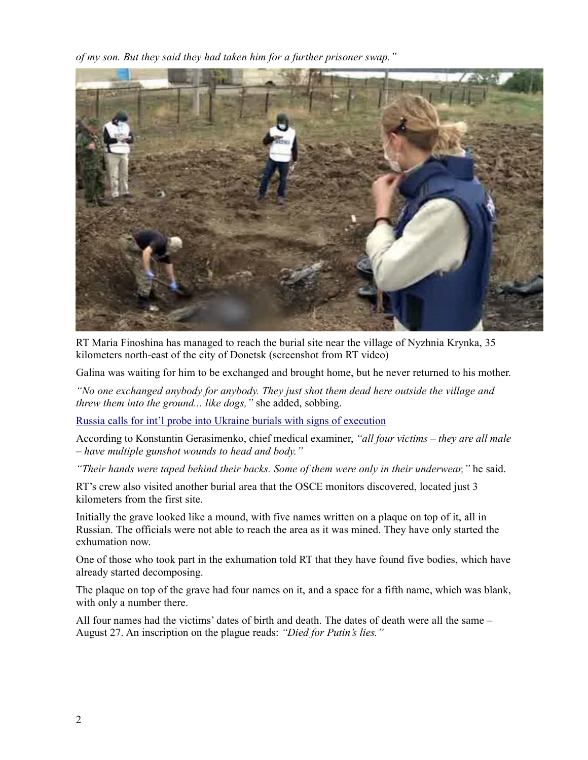of my son. But they said they had taken him for a further prisoner swap."



RT Maria Finoshina has managed to reach the burial site near the village of Nyzhnia Krynka, 35 kilometers north-east of the city of Donetsk (screenshot from RT video)

Galina was waiting for him to be exchanged and brought home, but he never returned to his mother.

"No one exchanged anybody for anybody. They just shot them dead here outside the village and *threw them into the ground... like dogs,* " she added, sobbing.

Russia calls for int'l probe into Ukraine burials with signs of execution

According to Konstantin Gerasimenko, chief medical examiner, "all four victims – they are all male  $-$  have multiple gunshot wounds to head and body."

"Their hands were taped behind their backs. Some of them were only in their underwear," he said.

RT's crew also visited another burial area that the OSCE monitors discovered, located just 3 kilometers from the first site.

Initially the grave looked like a mound, with five names written on a plaque on top of it, all in Russian. The officials were not able to reach the area as it was mined. They have only started the exhumation now.

One of those who took part in the exhumation told RT that they have found five bodies, which have already started decomposing.

The plaque on top of the grave had four names on it, and a space for a fifth name, which was blank, with only a number there.

All four names had the victims' dates of birth and death. The dates of death were all the same -August 27. An inscription on the plague reads: "Died for Putin's lies."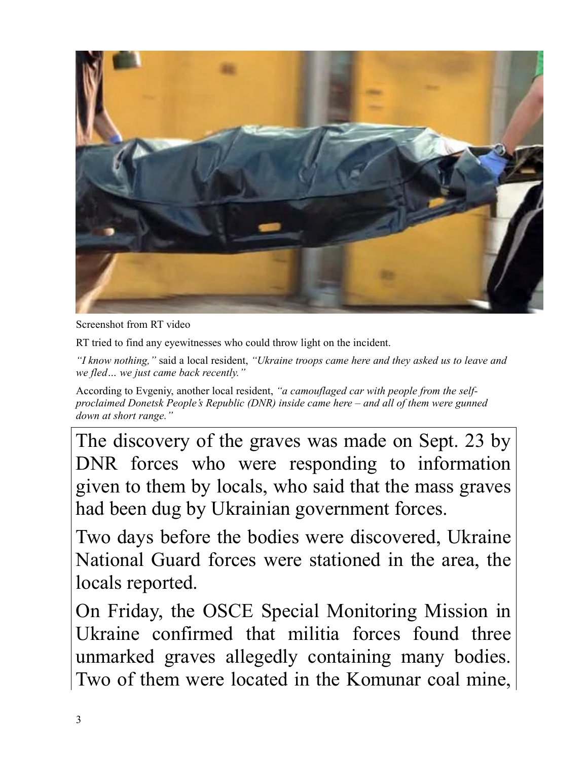

Screenshot from RT video

RT tried to find any eyewitnesses who could throw light on the incident.

"I know nothing," said a local resident, "Ukraine troops came here and they asked us to leave and *we fled... we just came back recently.'* 

According to Evgeniy, another local resident, "a camouflaged car with people from the selfproclaimed Donetsk People's Republic (DNR) inside came here  $-$  and all of them were gunned *down at short range.*"

The discovery of the graves was made on Sept. 23 by DNR forces who were responding to information given to them by locals, who said that the mass graves had been dug by Ukrainian government forces.

Two days before the bodies were discovered, Ukraine National Guard forces were stationed in the area, the locals reported.

On Friday, the OSCE Special Monitoring Mission in Ukraine confirmed that militia forces found three unmarked graves allegedly containing many bodies. Two of them were located in the Komunar coal mine,